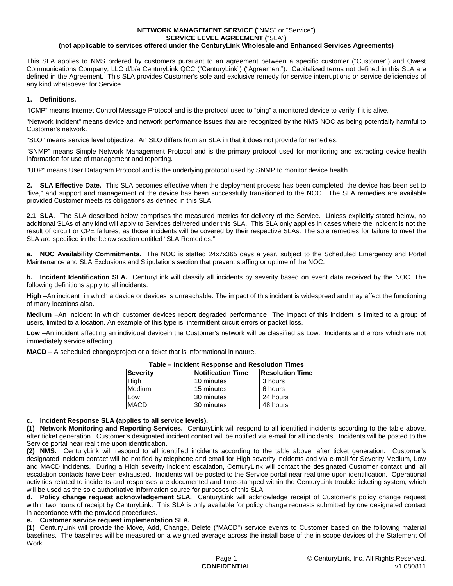#### **NETWORK MANAGEMENT SERVICE (**"NMS" or "Service"**) SERVICE LEVEL AGREEMENT (**"SLA"**) (not applicable to services offered under the CenturyLink Wholesale and Enhanced Services Agreements)**

This SLA applies to NMS ordered by customers pursuant to an agreement between a specific customer ("Customer") and Qwest Communications Company, LLC d/b/a CenturyLink QCC ("CenturyLink") ("Agreement"). Capitalized terms not defined in this SLA are defined in the Agreement. This SLA provides Customer's sole and exclusive remedy for service interruptions or service deficiencies of any kind whatsoever for Service.

## **1. Definitions.**

"ICMP" means Internet Control Message Protocol and is the protocol used to "ping" a monitored device to verify if it is alive.

"Network Incident" means device and network performance issues that are recognized by the NMS NOC as being potentially harmful to Customer's network.

"SLO" means service level objective. An SLO differs from an SLA in that it does not provide for remedies.

"SNMP" means Simple Network Management Protocol and is the primary protocol used for monitoring and extracting device health information for use of management and reporting.

"UDP" means User Datagram Protocol and is the underlying protocol used by SNMP to monitor device health.

**2. SLA Effective Date.** This SLA becomes effective when the deployment process has been completed, the device has been set to "live," and support and management of the device has been successfully transitioned to the NOC. The SLA remedies are available provided Customer meets its obligations as defined in this SLA.

**2.1 SLA.** The SLA described below comprises the measured metrics for delivery of the Service. Unless explicitly stated below, no additional SLAs of any kind will apply to Services delivered under this SLA. This SLA only applies in cases where the incident is not the result of circuit or CPE failures, as those incidents will be covered by their respective SLAs. The sole remedies for failure to meet the SLA are specified in the below section entitled "SLA Remedies."

**a. NOC Availability Commitments.** The NOC is staffed 24x7x365 days a year, subject to the Scheduled Emergency and Portal Maintenance and SLA Exclusions and Stipulations section that prevent staffing or uptime of the NOC.

**b. Incident Identification SLA.** CenturyLink will classify all incidents by severity based on event data received by the NOC. The following definitions apply to all incidents:

**High** –An incident in which a device or devices is unreachable. The impact of this incident is widespread and may affect the functioning of many locations also.

**Medium** –An incident in which customer devices report degraded performance The impact of this incident is limited to a group of users, limited to a location. An example of this type is intermittent circuit errors or packet loss.

**Low** –An incident affecting an individual devicein the Customer's network will be classified as Low. Incidents and errors which are not immediately service affecting.

**MACD** – A scheduled change/project or a ticket that is informational in nature.

| i uwiv<br>בסוווו ווטושנטטו מווש טטושנטטו ווויסטווו |                          |                        |  |
|----------------------------------------------------|--------------------------|------------------------|--|
| <b>Severity</b>                                    | <b>Notification Time</b> | <b>Resolution Time</b> |  |
| High                                               | 10 minutes               | 3 hours                |  |
| Medium                                             | 15 minutes               | 6 hours                |  |
| Low                                                | I30 minutes              | 24 hours               |  |
| <b>MACD</b>                                        | 30 minutes               | 48 hours               |  |

#### **Table – Incident Response and Resolution Times**

#### **c. Incident Response SLA (applies to all service levels).**

**(1) Network Monitoring and Reporting Services.** CenturyLink will respond to all identified incidents according to the table above, after ticket generation. Customer's designated incident contact will be notified via e-mail for all incidents. Incidents will be posted to the Service portal near real time upon identification.

**(2) NMS.** CenturyLink will respond to all identified incidents according to the table above, after ticket generation. Customer's designated incident contact will be notified by telephone and email for High severity incidents and via e-mail for Severity Medium, Low and MACD incidents. During a High severity incident escalation, CenturyLink will contact the designated Customer contact until all escalation contacts have been exhausted. Incidents will be posted to the Service portal near real time upon identification. Operational activities related to incidents and responses are documented and time-stamped within the CenturyLink trouble ticketing system, which will be used as the sole authoritative information source for purposes of this SLA.

**d. Policy change request acknowledgement SLA.** CenturyLink will acknowledge receipt of Customer's policy change request within two hours of receipt by CenturyLink. This SLA is only available for policy change requests submitted by one designated contact in accordance with the provided procedures.

### **e. Customer service request implementation SLA.**

**(1)** CenturyLink will provide the Move, Add, Change, Delete ("MACD") service events to Customer based on the following material baselines. The baselines will be measured on a weighted average across the install base of the in scope devices of the Statement Of Work.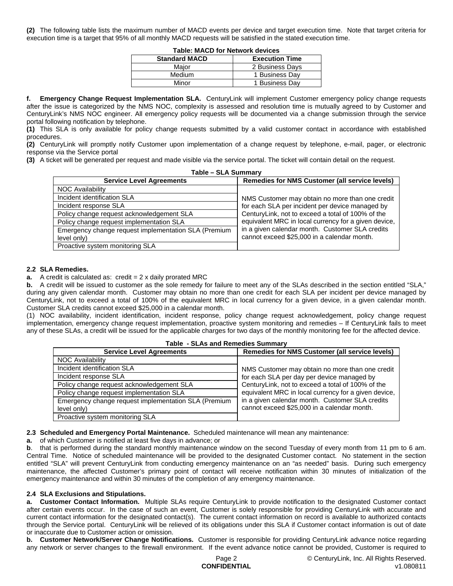**(2)** The following table lists the maximum number of MACD events per device and target execution time. Note that target criteria for execution time is a target that 95% of all monthly MACD requests will be satisfied in the stated execution time.

| TADIE. MACD TOT NEUVOLK GEVICES |                       |  |
|---------------------------------|-----------------------|--|
| <b>Standard MACD</b>            | <b>Execution Time</b> |  |
| Maior                           | 2 Business Days       |  |
| Medium                          | 1 Business Day        |  |
| Minor                           | 1 Business Day        |  |

**Table: MACD for Network devices**

**f. Emergency Change Request Implementation SLA.** CenturyLink will implement Customer emergency policy change requests after the issue is categorized by the NMS NOC, complexity is assessed and resolution time is mutually agreed to by Customer and CenturyLink's NMS NOC engineer. All emergency policy requests will be documented via a change submission through the service portal following notification by telephone.

**(1)** This SLA is only available for policy change requests submitted by a valid customer contact in accordance with established procedures.

**(2)** CenturyLink will promptly notify Customer upon implementation of a change request by telephone, e-mail, pager, or electronic response via the Service portal

**(3)** A ticket will be generated per request and made visible via the service portal. The ticket will contain detail on the request.

| Table - SLA Summary                                  |                                                       |  |
|------------------------------------------------------|-------------------------------------------------------|--|
| <b>Service Level Agreements</b>                      | <b>Remedies for NMS Customer (all service levels)</b> |  |
| <b>NOC Availability</b>                              |                                                       |  |
| Incident identification SLA                          | NMS Customer may obtain no more than one credit       |  |
| Incident response SLA                                | for each SLA per incident per device managed by       |  |
| Policy change request acknowledgement SLA            | CenturyLink, not to exceed a total of 100% of the     |  |
| Policy change request implementation SLA             | equivalent MRC in local currency for a given device,  |  |
| Emergency change request implementation SLA (Premium | in a given calendar month. Customer SLA credits       |  |
| level only)                                          | cannot exceed \$25,000 in a calendar month.           |  |
| Proactive system monitoring SLA                      |                                                       |  |

### **2.2 SLA Remedies.**

#### **a.** A credit is calculated as: credit = 2 x daily prorated MRC

**b.** A credit will be issued to customer as the sole remedy for failure to meet any of the SLAs described in the section entitled "SLA," during any given calendar month. Customer may obtain no more than one credit for each SLA per incident per device managed by CenturyLink, not to exceed a total of 100% of the equivalent MRC in local currency for a given device, in a given calendar month. Customer SLA credits cannot exceed \$25,000 in a calendar month.

(1) NOC availability, incident identification, incident response, policy change request acknowledgement, policy change request implementation, emergency change request implementation, proactive system monitoring and remedies – If CenturyLink fails to meet any of these SLAs, a credit will be issued for the applicable charges for two days of the monthly monitoring fee for the affected device.

| Table - SLAS and Remedies Summary                    |                                                       |  |
|------------------------------------------------------|-------------------------------------------------------|--|
| <b>Service Level Agreements</b>                      | <b>Remedies for NMS Customer (all service levels)</b> |  |
| <b>NOC Availability</b>                              |                                                       |  |
| Incident identification SLA                          | NMS Customer may obtain no more than one credit       |  |
| Incident response SLA                                | for each SLA per day per device managed by            |  |
| Policy change request acknowledgement SLA            | CenturyLink, not to exceed a total of 100% of the     |  |
| Policy change request implementation SLA             | equivalent MRC in local currency for a given device,  |  |
| Emergency change request implementation SLA (Premium | in a given calendar month. Customer SLA credits       |  |
| level only)                                          | cannot exceed \$25,000 in a calendar month.           |  |
| Proactive system monitoring SLA                      |                                                       |  |

# **Table - SLAs and Remedies Summary**

**2.3 Scheduled and Emergency Portal Maintenance.** Scheduled maintenance will mean any maintenance:

**a.** of which Customer is notified at least five days in advance; or

**b**. that is performed during the standard monthly maintenance window on the second Tuesday of every month from 11 pm to 6 am. Central Time. Notice of scheduled maintenance will be provided to the designated Customer contact. No statement in the section entitled "SLA" will prevent CenturyLink from conducting emergency maintenance on an "as needed" basis. During such emergency maintenance, the affected Customer's primary point of contact will receive notification within 30 minutes of initialization of the emergency maintenance and within 30 minutes of the completion of any emergency maintenance.

### **2.4 SLA Exclusions and Stipulations.**

**a. Customer Contact Information.** Multiple SLAs require CenturyLink to provide notification to the designated Customer contact after certain events occur. In the case of such an event, Customer is solely responsible for providing CenturyLink with accurate and current contact information for the designated contact(s). The current contact information on record is available to authorized contacts through the Service portal. CenturyLink will be relieved of its obligations under this SLA if Customer contact information is out of date or inaccurate due to Customer action or omission.

**b. Customer Network/Server Change Notifications.** Customer is responsible for providing CenturyLink advance notice regarding any network or server changes to the firewall environment. If the event advance notice cannot be provided, Customer is required to

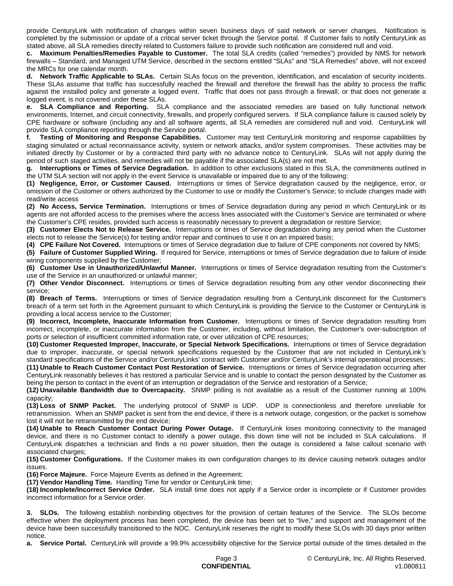provide CenturyLink with notification of changes within seven business days of said network or server changes. Notification is completed by the submission or update of a critical server ticket through the Service portal. If Customer fails to notify CenturyLink as stated above, all SLA remedies directly related to Customers failure to provide such notification are considered null and void.

**c. Maximum Penalties/Remedies Payable to Customer.** The total SLA credits (called "remedies") provided by NMS for network firewalls – Standard, and Managed UTM Service, described in the sections entitled "SLAs" and "SLA Remedies" above, will not exceed the MRCs for one calendar month.

**d. Network Traffic Applicable to SLAs.** Certain SLAs focus on the prevention, identification, and escalation of security incidents. These SLAs assume that traffic has successfully reached the firewall and therefore the firewall has the ability to process the traffic against the installed policy and generate a logged event. Traffic that does not pass through a firewall, or that does not generate a logged event, is not covered under these SLAs.

**e. SLA Compliance and Reporting.** SLA compliance and the associated remedies are based on fully functional network environments, Internet, and circuit connectivity, firewalls, and properly configured servers. If SLA compliance failure is caused solely by CPE hardware or software (including any and all software agents, all SLA remedies are considered null and void. CenturyLink will provide SLA compliance reporting through the Service portal.

**f. Testing of Monitoring and Response Capabilities.** Customer may test CenturyLink monitoring and response capabilities by staging simulated or actual reconnaissance activity, system or network attacks, and/or system compromises. These activities may be initiated directly by Customer or by a contracted third party with no advance notice to CenturyLink. SLAs will not apply during the period of such staged activities, and remedies will not be payable if the associated SLA(s) are not met.

**g. Interruptions or Times of Service Degradation.** In addition to other exclusions stated in this SLA, the commitments outlined in the UTM SLA section will not apply in the event Service is unavailable or impaired due to any of the following:

**(1) Negligence, Error, or Customer Caused.** Interruptions or times of Service degradation caused by the negligence, error, or omission of the Customer or others authorized by the Customer to use or modify the Customer's Service; to include changes made with read/write access

**(2) No Access, Service Termination.** Interruptions or times of Service degradation during any period in which CenturyLink or its agents are not afforded access to the premises where the access lines associated with the Customer's Service are terminated or where the Customer's CPE resides, provided such access is reasonably necessary to prevent a degradation or restore Service;

**(3) Customer Elects Not to Release Service.** Interruptions or times of Service degradation during any period when the Customer elects not to release the Service(s) for testing and/or repair and continues to use it on an impaired basis;

**(4) CPE Failure Not Covered.** Interruptions or times of Service degradation due to failure of CPE components not covered by NMS;

**(5) Failure of Customer Supplied Wiring.** If required for Service, interruptions or times of Service degradation due to failure of inside wiring components supplied by the Customer;

**(6) Customer Use in Unauthorized/Unlawful Manner.** Interruptions or times of Service degradation resulting from the Customer's use of the Service in an unauthorized or unlawful manner;

**(7) Other Vendor Disconnect.** Interruptions or times of Service degradation resulting from any other vendor disconnecting their service;

**(8) Breach of Terms.** Interruptions or times of Service degradation resulting from a CenturyLink disconnect for the Customer's breach of a term set forth in the Agreement pursuant to which CenturyLink is providing the Service to the Customer or CenturyLink is providing a local access service to the Customer;

**(9) Incorrect, Incomplete, Inaccurate Information from Customer.** Interruptions or times of Service degradation resulting from incorrect, incomplete, or inaccurate information from the Customer, including, without limitation, the Customer's over-subscription of ports or selection of insufficient committed information rate, or over utilization of CPE resources;

**(10) Customer Requested Improper, Inaccurate, or Special Network Specifications.** Interruptions or times of Service degradation due to improper, inaccurate, or special network specifications requested by the Customer that are not included in CenturyLink's standard specifications of the Service and/or CenturyLinks' contract with Customer and/or CenturyLink's internal operational processes; **(11) Unable to Reach Customer Contact Post Restoration of Service.** Interruptions or times of Service degradation occurring after CenturyLink reasonably believes it has restored a particular Service and is unable to contact the person designated by the Customer as being the person to contact in the event of an interruption or degradation of the Service and restoration of a Service;

**(12) Unavailable Bandwidth due to Overcapacity.** SNMP polling is not available as a result of the Customer running at 100% capacity;

**(13) Loss of SNMP Packet.** The underlying protocol of SNMP is UDP. UDP is connectionless and therefore unreliable for retransmission. When an SNMP packet is sent from the end device, if there is a network outage, congestion, or the packet is somehow lost it will not be retransmitted by the end device;

**(14) Unable to Reach Customer Contact During Power Outage.** If CenturyLink loses monitoring connectivity to the managed device, and there is no Customer contact to identify a power outage, this down time will not be included in SLA calculations. If CenturyLink dispatches a technician and finds a no power situation, then the outage is considered a false callout scenario with associated charges;

**(15) Customer Configurations.** If the Customer makes its own configuration changes to its device causing network outages and/or issues.

**(16) Force Majeure.** Force Majeure Events as defined in the Agreement;

**(17) Vendor Handling Time.** Handling Time for vendor or CenturyLink time;

**(18) Incomplete/Incorrect Service Order.** SLA install time does not apply if a Service order is incomplete or if Customer provides incorrect information for a Service order.

**3. SLOs.** The following establish nonbinding objectives for the provision of certain features of the Service. The SLOs become effective when the deployment process has been completed, the device has been set to "live," and support and management of the device have been successfully transitioned to the NOC. CenturyLink reserves the right to modify these SLOs with 30 days prior written notice.

**a. Service Portal.** CenturyLink will provide a 99.9% accessibility objective for the Service portal outside of the times detailed in the